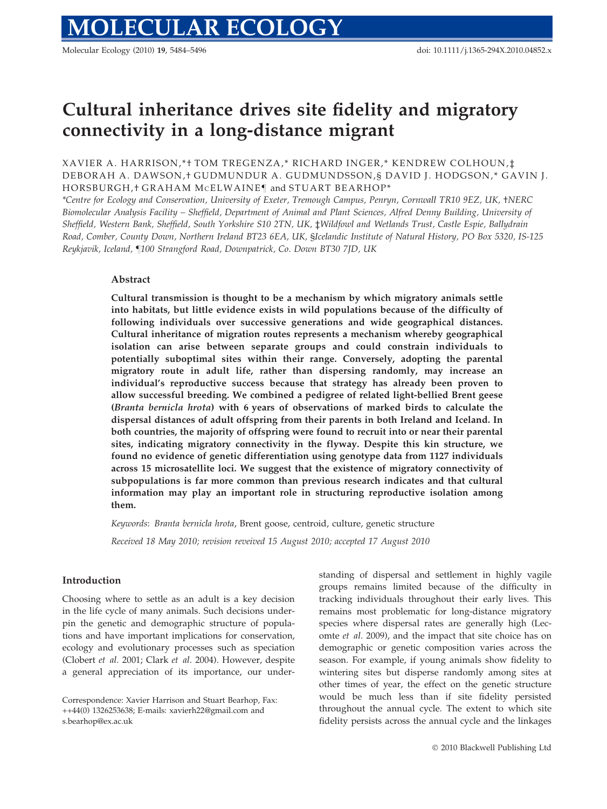Molecular Ecology (2010) 19, 5484–5496 doi: 10.1111/j.1365-294X.2010.04852.x

# Cultural inheritance drives site fidelity and migratory connectivity in a long-distance migrant

XAVIER A. HARRISON,\*† TOM TREGENZA,\* RICHARD INGER,\* KENDREW COLHOUN,‡ DEBORAH A. DAWSON,† GUDMUNDUR A. GUDMUNDSSON,§ DAVID J. HODGSON,\* GAVIN J. HORSBURGH, † GRAHAM MCELWAINE¶ and STUART BEARHOP\*

\*Centre for Ecology and Conservation, University of Exeter, Tremough Campus, Penryn, Cornwall TR10 9EZ, UK, †NERC Biomolecular Analysis Facility – Sheffield, Department of Animal and Plant Sciences, Alfred Denny Building, University of Sheffield, Western Bank, Sheffield, South Yorkshire S10 2TN, UK, ‡Wildfowl and Wetlands Trust, Castle Espie, Ballydrain Road, Comber, County Down, Northern Ireland BT23 6EA, UK, §Icelandic Institute of Natural History, PO Box 5320, IS-125 Reykjavik, Iceland, ¶100 Strangford Road, Downpatrick, Co. Down BT30 7JD, UK

# Abstract

Cultural transmission is thought to be a mechanism by which migratory animals settle into habitats, but little evidence exists in wild populations because of the difficulty of following individuals over successive generations and wide geographical distances. Cultural inheritance of migration routes represents a mechanism whereby geographical isolation can arise between separate groups and could constrain individuals to potentially suboptimal sites within their range. Conversely, adopting the parental migratory route in adult life, rather than dispersing randomly, may increase an individual's reproductive success because that strategy has already been proven to allow successful breeding. We combined a pedigree of related light-bellied Brent geese (Branta bernicla hrota) with 6 years of observations of marked birds to calculate the dispersal distances of adult offspring from their parents in both Ireland and Iceland. In both countries, the majority of offspring were found to recruit into or near their parental sites, indicating migratory connectivity in the flyway. Despite this kin structure, we found no evidence of genetic differentiation using genotype data from 1127 individuals across 15 microsatellite loci. We suggest that the existence of migratory connectivity of subpopulations is far more common than previous research indicates and that cultural information may play an important role in structuring reproductive isolation among them.

Keywords: Branta bernicla hrota, Brent goose, centroid, culture, genetic structure

Received 18 May 2010; revision reveived 15 August 2010; accepted 17 August 2010

# Introduction

Choosing where to settle as an adult is a key decision in the life cycle of many animals. Such decisions underpin the genetic and demographic structure of populations and have important implications for conservation, ecology and evolutionary processes such as speciation (Clobert et al. 2001; Clark et al. 2004). However, despite a general appreciation of its importance, our understanding of dispersal and settlement in highly vagile groups remains limited because of the difficulty in tracking individuals throughout their early lives. This remains most problematic for long-distance migratory species where dispersal rates are generally high (Lecomte et al. 2009), and the impact that site choice has on demographic or genetic composition varies across the season. For example, if young animals show fidelity to wintering sites but disperse randomly among sites at other times of year, the effect on the genetic structure would be much less than if site fidelity persisted throughout the annual cycle. The extent to which site fidelity persists across the annual cycle and the linkages

Correspondence: Xavier Harrison and Stuart Bearhop, Fax: ++44(0) 1326253638; E-mails: xavierh22@gmail.com and s.bearhop@ex.ac.uk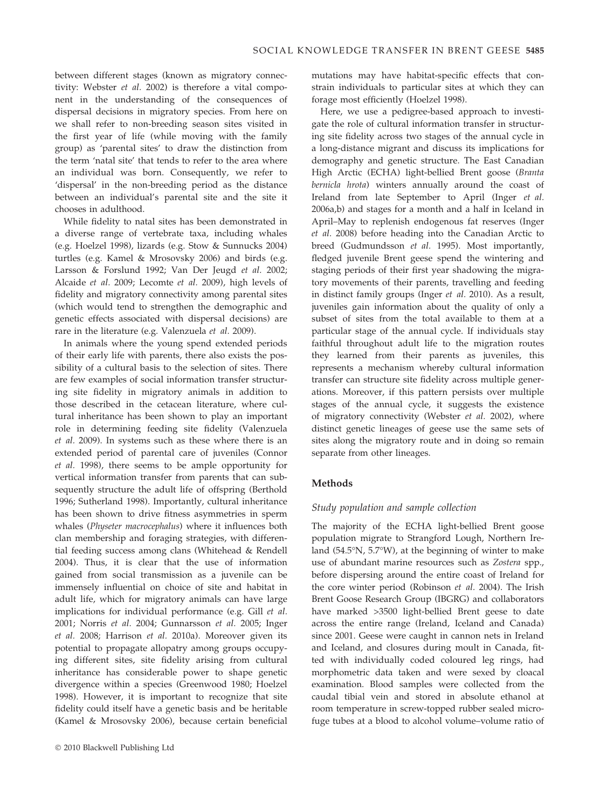between different stages (known as migratory connectivity: Webster et al. 2002) is therefore a vital component in the understanding of the consequences of dispersal decisions in migratory species. From here on we shall refer to non-breeding season sites visited in the first year of life (while moving with the family group) as 'parental sites' to draw the distinction from the term 'natal site' that tends to refer to the area where an individual was born. Consequently, we refer to 'dispersal' in the non-breeding period as the distance between an individual's parental site and the site it chooses in adulthood.

While fidelity to natal sites has been demonstrated in a diverse range of vertebrate taxa, including whales (e.g. Hoelzel 1998), lizards (e.g. Stow & Sunnucks 2004) turtles (e.g. Kamel & Mrosovsky 2006) and birds (e.g. Larsson & Forslund 1992; Van Der Jeugd et al. 2002; Alcaide et al. 2009; Lecomte et al. 2009), high levels of fidelity and migratory connectivity among parental sites (which would tend to strengthen the demographic and genetic effects associated with dispersal decisions) are rare in the literature (e.g. Valenzuela et al. 2009).

In animals where the young spend extended periods of their early life with parents, there also exists the possibility of a cultural basis to the selection of sites. There are few examples of social information transfer structuring site fidelity in migratory animals in addition to those described in the cetacean literature, where cultural inheritance has been shown to play an important role in determining feeding site fidelity (Valenzuela et al. 2009). In systems such as these where there is an extended period of parental care of juveniles (Connor et al. 1998), there seems to be ample opportunity for vertical information transfer from parents that can subsequently structure the adult life of offspring (Berthold 1996; Sutherland 1998). Importantly, cultural inheritance has been shown to drive fitness asymmetries in sperm whales (Physeter macrocephalus) where it influences both clan membership and foraging strategies, with differential feeding success among clans (Whitehead & Rendell 2004). Thus, it is clear that the use of information gained from social transmission as a juvenile can be immensely influential on choice of site and habitat in adult life, which for migratory animals can have large implications for individual performance (e.g. Gill et al. 2001; Norris et al. 2004; Gunnarsson et al. 2005; Inger et al. 2008; Harrison et al. 2010a). Moreover given its potential to propagate allopatry among groups occupying different sites, site fidelity arising from cultural inheritance has considerable power to shape genetic divergence within a species (Greenwood 1980; Hoelzel 1998). However, it is important to recognize that site fidelity could itself have a genetic basis and be heritable (Kamel & Mrosovsky 2006), because certain beneficial mutations may have habitat-specific effects that constrain individuals to particular sites at which they can forage most efficiently (Hoelzel 1998).

Here, we use a pedigree-based approach to investigate the role of cultural information transfer in structuring site fidelity across two stages of the annual cycle in a long-distance migrant and discuss its implications for demography and genetic structure. The East Canadian High Arctic (ECHA) light-bellied Brent goose (Branta bernicla hrota) winters annually around the coast of Ireland from late September to April (Inger et al. 2006a,b) and stages for a month and a half in Iceland in April–May to replenish endogenous fat reserves (Inger et al. 2008) before heading into the Canadian Arctic to breed (Gudmundsson et al. 1995). Most importantly, fledged juvenile Brent geese spend the wintering and staging periods of their first year shadowing the migratory movements of their parents, travelling and feeding in distinct family groups (Inger et al. 2010). As a result, juveniles gain information about the quality of only a subset of sites from the total available to them at a particular stage of the annual cycle. If individuals stay faithful throughout adult life to the migration routes they learned from their parents as juveniles, this represents a mechanism whereby cultural information transfer can structure site fidelity across multiple generations. Moreover, if this pattern persists over multiple stages of the annual cycle, it suggests the existence of migratory connectivity (Webster et al. 2002), where distinct genetic lineages of geese use the same sets of sites along the migratory route and in doing so remain separate from other lineages.

## Methods

#### Study population and sample collection

The majority of the ECHA light-bellied Brent goose population migrate to Strangford Lough, Northern Ireland (54.5°N, 5.7°W), at the beginning of winter to make use of abundant marine resources such as Zostera spp., before dispersing around the entire coast of Ireland for the core winter period (Robinson et al. 2004). The Irish Brent Goose Research Group (IBGRG) and collaborators have marked >3500 light-bellied Brent geese to date across the entire range (Ireland, Iceland and Canada) since 2001. Geese were caught in cannon nets in Ireland and Iceland, and closures during moult in Canada, fitted with individually coded coloured leg rings, had morphometric data taken and were sexed by cloacal examination. Blood samples were collected from the caudal tibial vein and stored in absolute ethanol at room temperature in screw-topped rubber sealed microfuge tubes at a blood to alcohol volume–volume ratio of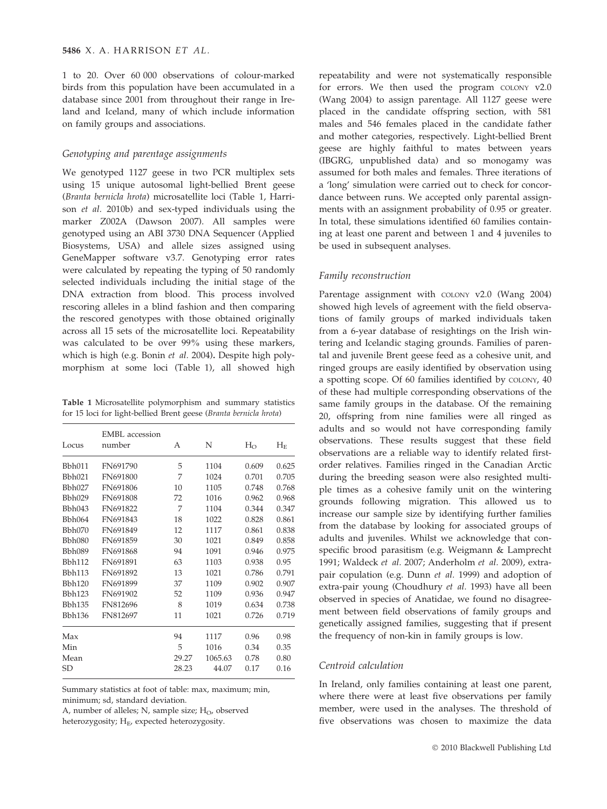1 to 20. Over 60 000 observations of colour-marked birds from this population have been accumulated in a database since 2001 from throughout their range in Ireland and Iceland, many of which include information on family groups and associations.

# Genotyping and parentage assignments

We genotyped 1127 geese in two PCR multiplex sets using 15 unique autosomal light-bellied Brent geese (Branta bernicla hrota) microsatellite loci (Table 1, Harrison et al. 2010b) and sex-typed individuals using the marker Z002A (Dawson 2007). All samples were genotyped using an ABI 3730 DNA Sequencer (Applied Biosystems, USA) and allele sizes assigned using GeneMapper software v3.7. Genotyping error rates were calculated by repeating the typing of 50 randomly selected individuals including the initial stage of the DNA extraction from blood. This process involved rescoring alleles in a blind fashion and then comparing the rescored genotypes with those obtained originally across all 15 sets of the microsatellite loci. Repeatability was calculated to be over 99% using these markers, which is high (e.g. Bonin et al. 2004). Despite high polymorphism at some loci (Table 1), all showed high

Table 1 Microsatellite polymorphism and summary statistics for 15 loci for light-bellied Brent geese (Branta bernicla hrota)

| Locus         | EMBL accession<br>number | А     | N       | $H_{\Omega}$ | $H_{E}$ |
|---------------|--------------------------|-------|---------|--------------|---------|
| Bbh011        | FN691790                 | 5     | 1104    | 0.609        | 0.625   |
| Bbh021        | FN691800                 | 7     | 1024    | 0.701        | 0.705   |
| <b>Bbh027</b> | FN691806                 | 10    | 1105    | 0.748        | 0.768   |
| Bbh029        | FN691808                 | 72    | 1016    | 0.962        | 0.968   |
| Bbh043        | FN691822                 | 7     | 1104    | 0.344        | 0.347   |
| Bbh064        | FN691843                 | 18    | 1022    | 0.828        | 0.861   |
| Bbh070        | FN691849                 | 12    | 1117    | 0.861        | 0.838   |
| <b>Bbh080</b> | FN691859                 | 30    | 1021    | 0.849        | 0.858   |
| <b>Bbh089</b> | FN691868                 | 94    | 1091    | 0.946        | 0.975   |
| <b>Bbh112</b> | FN691891                 | 63    | 1103    | 0.938        | 0.95    |
| <b>Bbh113</b> | FN691892                 | 13    | 1021    | 0.786        | 0.791   |
| Bbh120        | FN691899                 | 37    | 1109    | 0.902        | 0.907   |
| <b>Bbh123</b> | FN691902                 | 52    | 1109    | 0.936        | 0.947   |
| <b>Bbh135</b> | FN812696                 | 8     | 1019    | 0.634        | 0.738   |
| <b>Bbh136</b> | FN812697                 | 11    | 1021    | 0.726        | 0.719   |
| Max           |                          | 94    | 1117    | 0.96         | 0.98    |
| Min           |                          | 5     | 1016    | 0.34         | 0.35    |
| Mean          |                          | 29.27 | 1065.63 | 0.78         | 0.80    |
| SD            |                          | 28.23 | 44.07   | 0.17         | 0.16    |

Summary statistics at foot of table: max, maximum; min, minimum; sd, standard deviation.

A, number of alleles; N, sample size;  $H<sub>O</sub>$ , observed heterozygosity; HE, expected heterozygosity.

repeatability and were not systematically responsible for errors. We then used the program COLONY v2.0 (Wang 2004) to assign parentage. All 1127 geese were placed in the candidate offspring section, with 581 males and 546 females placed in the candidate father and mother categories, respectively. Light-bellied Brent geese are highly faithful to mates between years (IBGRG, unpublished data) and so monogamy was assumed for both males and females. Three iterations of a 'long' simulation were carried out to check for concordance between runs. We accepted only parental assignments with an assignment probability of 0.95 or greater. In total, these simulations identified 60 families containing at least one parent and between 1 and 4 juveniles to be used in subsequent analyses.

## Family reconstruction

Parentage assignment with COLONY v2.0 (Wang 2004) showed high levels of agreement with the field observations of family groups of marked individuals taken from a 6-year database of resightings on the Irish wintering and Icelandic staging grounds. Families of parental and juvenile Brent geese feed as a cohesive unit, and ringed groups are easily identified by observation using a spotting scope. Of 60 families identified by COLONY, 40 of these had multiple corresponding observations of the same family groups in the database. Of the remaining 20, offspring from nine families were all ringed as adults and so would not have corresponding family observations. These results suggest that these field observations are a reliable way to identify related firstorder relatives. Families ringed in the Canadian Arctic during the breeding season were also resighted multiple times as a cohesive family unit on the wintering grounds following migration. This allowed us to increase our sample size by identifying further families from the database by looking for associated groups of adults and juveniles. Whilst we acknowledge that conspecific brood parasitism (e.g. Weigmann & Lamprecht 1991; Waldeck et al. 2007; Anderholm et al. 2009), extrapair copulation (e.g. Dunn et al. 1999) and adoption of extra-pair young (Choudhury et al. 1993) have all been observed in species of Anatidae, we found no disagreement between field observations of family groups and genetically assigned families, suggesting that if present the frequency of non-kin in family groups is low.

## Centroid calculation

In Ireland, only families containing at least one parent, where there were at least five observations per family member, were used in the analyses. The threshold of five observations was chosen to maximize the data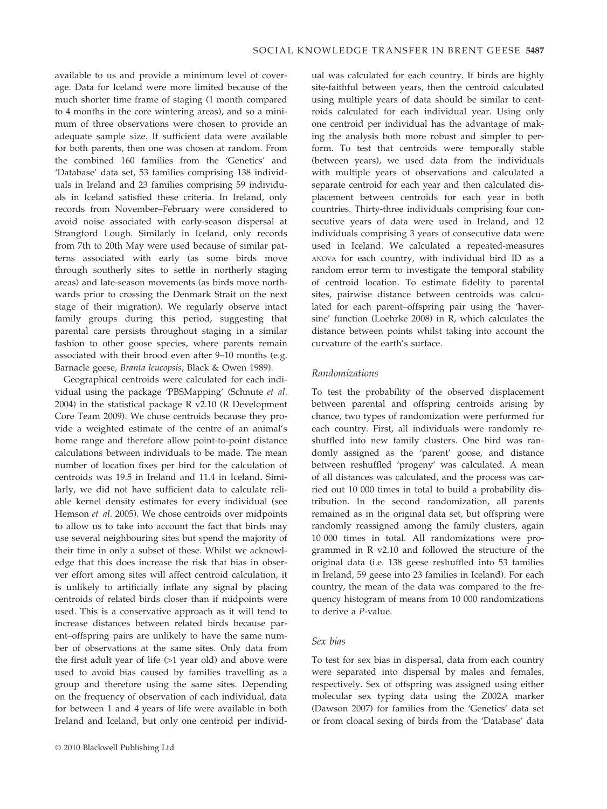available to us and provide a minimum level of coverage. Data for Iceland were more limited because of the much shorter time frame of staging (1 month compared to 4 months in the core wintering areas), and so a minimum of three observations were chosen to provide an adequate sample size. If sufficient data were available for both parents, then one was chosen at random. From the combined 160 families from the 'Genetics' and 'Database' data set, 53 families comprising 138 individuals in Ireland and 23 families comprising 59 individuals in Iceland satisfied these criteria. In Ireland, only records from November–February were considered to avoid noise associated with early-season dispersal at Strangford Lough. Similarly in Iceland, only records from 7th to 20th May were used because of similar patterns associated with early (as some birds move through southerly sites to settle in northerly staging areas) and late-season movements (as birds move northwards prior to crossing the Denmark Strait on the next stage of their migration). We regularly observe intact family groups during this period, suggesting that parental care persists throughout staging in a similar fashion to other goose species, where parents remain associated with their brood even after 9–10 months (e.g. Barnacle geese, Branta leucopsis; Black & Owen 1989).

Geographical centroids were calculated for each individual using the package 'PBSMapping' (Schnute et al. 2004) in the statistical package R v2.10 (R Development Core Team 2009). We chose centroids because they provide a weighted estimate of the centre of an animal's home range and therefore allow point-to-point distance calculations between individuals to be made. The mean number of location fixes per bird for the calculation of centroids was 19.5 in Ireland and 11.4 in Iceland. Similarly, we did not have sufficient data to calculate reliable kernel density estimates for every individual (see Hemson et al. 2005). We chose centroids over midpoints to allow us to take into account the fact that birds may use several neighbouring sites but spend the majority of their time in only a subset of these. Whilst we acknowledge that this does increase the risk that bias in observer effort among sites will affect centroid calculation, it is unlikely to artificially inflate any signal by placing centroids of related birds closer than if midpoints were used. This is a conservative approach as it will tend to increase distances between related birds because parent–offspring pairs are unlikely to have the same number of observations at the same sites. Only data from the first adult year of life (>1 year old) and above were used to avoid bias caused by families travelling as a group and therefore using the same sites. Depending on the frequency of observation of each individual, data for between 1 and 4 years of life were available in both Ireland and Iceland, but only one centroid per individual was calculated for each country. If birds are highly site-faithful between years, then the centroid calculated using multiple years of data should be similar to centroids calculated for each individual year. Using only one centroid per individual has the advantage of making the analysis both more robust and simpler to perform. To test that centroids were temporally stable (between years), we used data from the individuals with multiple years of observations and calculated a separate centroid for each year and then calculated displacement between centroids for each year in both countries. Thirty-three individuals comprising four consecutive years of data were used in Ireland, and 12 individuals comprising 3 years of consecutive data were used in Iceland. We calculated a repeated-measures ANOVA for each country, with individual bird ID as a random error term to investigate the temporal stability of centroid location. To estimate fidelity to parental sites, pairwise distance between centroids was calculated for each parent–offspring pair using the 'haversine' function (Loehrke 2008) in R, which calculates the distance between points whilst taking into account the curvature of the earth's surface.

# Randomizations

To test the probability of the observed displacement between parental and offspring centroids arising by chance, two types of randomization were performed for each country. First, all individuals were randomly reshuffled into new family clusters. One bird was randomly assigned as the 'parent' goose, and distance between reshuffled 'progeny' was calculated. A mean of all distances was calculated, and the process was carried out 10 000 times in total to build a probability distribution. In the second randomization, all parents remained as in the original data set, but offspring were randomly reassigned among the family clusters, again 10 000 times in total. All randomizations were programmed in R v2.10 and followed the structure of the original data (i.e. 138 geese reshuffled into 53 families in Ireland, 59 geese into 23 families in Iceland). For each country, the mean of the data was compared to the frequency histogram of means from 10 000 randomizations to derive a P-value.

# Sex bias

To test for sex bias in dispersal, data from each country were separated into dispersal by males and females, respectively. Sex of offspring was assigned using either molecular sex typing data using the Z002A marker (Dawson 2007) for families from the 'Genetics' data set or from cloacal sexing of birds from the 'Database' data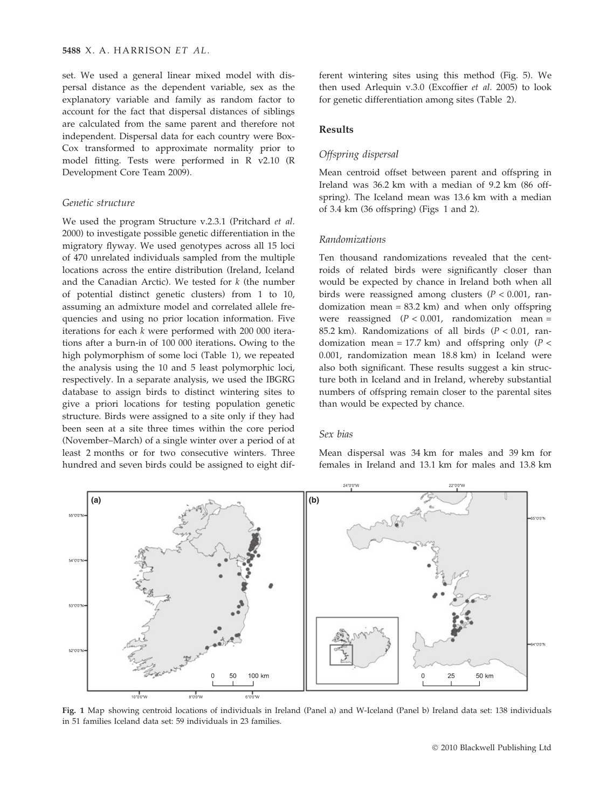set. We used a general linear mixed model with dispersal distance as the dependent variable, sex as the explanatory variable and family as random factor to account for the fact that dispersal distances of siblings are calculated from the same parent and therefore not independent. Dispersal data for each country were Box-Cox transformed to approximate normality prior to model fitting. Tests were performed in R v2.10 (R Development Core Team 2009).

## Genetic structure

We used the program Structure v.2.3.1 (Pritchard et al. 2000) to investigate possible genetic differentiation in the migratory flyway. We used genotypes across all 15 loci of 470 unrelated individuals sampled from the multiple locations across the entire distribution (Ireland, Iceland and the Canadian Arctic). We tested for  $k$  (the number of potential distinct genetic clusters) from 1 to 10, assuming an admixture model and correlated allele frequencies and using no prior location information. Five iterations for each k were performed with 200 000 iterations after a burn-in of 100 000 iterations. Owing to the high polymorphism of some loci (Table 1), we repeated the analysis using the 10 and 5 least polymorphic loci, respectively. In a separate analysis, we used the IBGRG database to assign birds to distinct wintering sites to give a priori locations for testing population genetic structure. Birds were assigned to a site only if they had been seen at a site three times within the core period (November–March) of a single winter over a period of at least 2 months or for two consecutive winters. Three hundred and seven birds could be assigned to eight different wintering sites using this method (Fig. 5). We then used Arlequin v.3.0 (Excoffier et al. 2005) to look for genetic differentiation among sites (Table 2).

# Results

# Offspring dispersal

Mean centroid offset between parent and offspring in Ireland was 36.2 km with a median of 9.2 km (86 offspring). The Iceland mean was 13.6 km with a median of 3.4 km (36 offspring) (Figs 1 and 2).

## Randomizations

Ten thousand randomizations revealed that the centroids of related birds were significantly closer than would be expected by chance in Ireland both when all birds were reassigned among clusters ( $P < 0.001$ , randomization mean =  $83.2 \text{ km}$ ) and when only offspring were reassigned  $(P < 0.001$ , randomization mean = 85.2 km). Randomizations of all birds  $(P < 0.01$ , randomization mean = 17.7 km) and offspring only ( $P$  < 0.001, randomization mean 18.8 km) in Iceland were also both significant. These results suggest a kin structure both in Iceland and in Ireland, whereby substantial numbers of offspring remain closer to the parental sites than would be expected by chance.

#### Sex bias

Mean dispersal was 34 km for males and 39 km for females in Ireland and 13.1 km for males and 13.8 km



Fig. 1 Map showing centroid locations of individuals in Ireland (Panel a) and W-Iceland (Panel b) Ireland data set: 138 individuals in 51 families Iceland data set: 59 individuals in 23 families.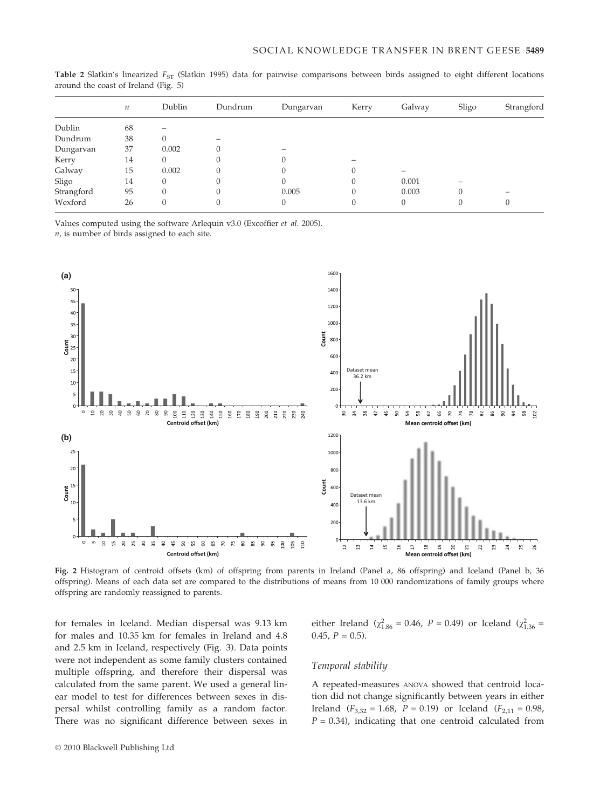|            | $\boldsymbol{n}$ | Dublin                   | Dundrum | Dungarvan | Kerry | Galway   | Sligo | Strangford |
|------------|------------------|--------------------------|---------|-----------|-------|----------|-------|------------|
| Dublin     | 68               | $\overline{\phantom{0}}$ |         |           |       |          |       |            |
| Dundrum    | 38               |                          |         |           |       |          |       |            |
| Dungarvan  | 37               | 0.002                    |         |           |       |          |       |            |
| Kerry      | 14               |                          |         |           |       |          |       |            |
| Galway     | 15               | 0.002                    | 0       |           |       |          |       |            |
| Sligo      | 14               |                          |         |           |       | 0.001    |       |            |
| Strangford | 95               |                          |         | 0.005     |       | 0.003    |       |            |
| Wexford    | 26               |                          |         |           |       | $\theta$ |       |            |
|            |                  |                          |         |           |       |          |       |            |

Table 2 Slatkin's linearized  $F_{ST}$  (Slatkin 1995) data for pairwise comparisons between birds assigned to eight different locations around the coast of Ireland (Fig. 5)

Values computed using the software Arlequin v3.0 (Excoffier et al. 2005).

 $n<sub>i</sub>$ , is number of birds assigned to each site.



Fig. 2 Histogram of centroid offsets (km) of offspring from parents in Ireland (Panel a, 86 offspring) and Iceland (Panel b, 36 offspring). Means of each data set are compared to the distributions of means from 10 000 randomizations of family groups where offspring are randomly reassigned to parents.

for females in Iceland. Median dispersal was 9.13 km for males and 10.35 km for females in Ireland and 4.8 and 2.5 km in Iceland, respectively (Fig. 3). Data points were not independent as some family clusters contained multiple offspring, and therefore their dispersal was calculated from the same parent. We used a general linear model to test for differences between sexes in dispersal whilst controlling family as a random factor. There was no significant difference between sexes in

either Ireland ( $\chi^{2}_{1,86} = 0.46$ ,  $P = 0.49$ ) or Iceland ( $\chi^{2}_{1,36} =$  $0.45, P = 0.5$ .

#### Temporal stability

A repeated-measures ANOVA showed that centroid location did not change significantly between years in either Ireland ( $F_{3,32} = 1.68$ ,  $P = 0.19$ ) or Iceland ( $F_{2,11} = 0.98$ ,  $P = 0.34$ ), indicating that one centroid calculated from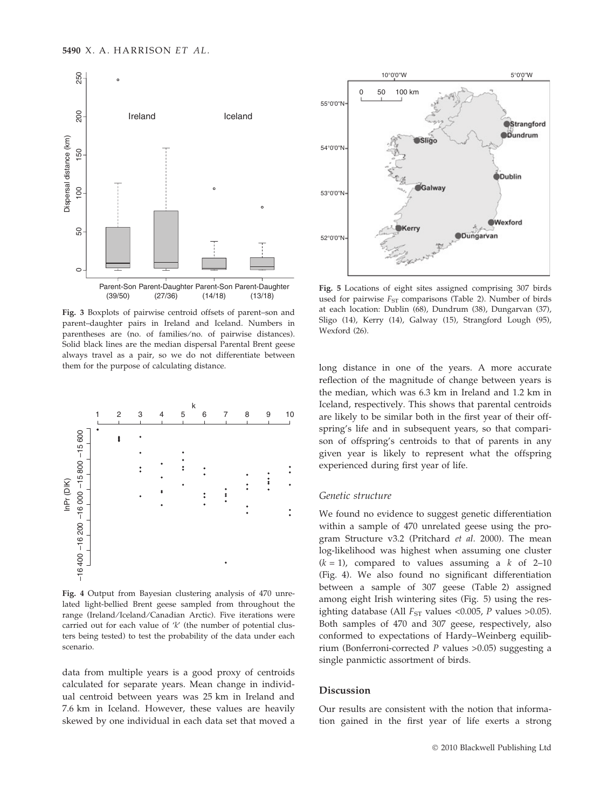

Fig. 3 Boxplots of pairwise centroid offsets of parent–son and parent–daughter pairs in Ireland and Iceland. Numbers in parentheses are (no. of families/no. of pairwise distances). Solid black lines are the median dispersal Parental Brent geese always travel as a pair, so we do not differentiate between them for the purpose of calculating distance.



Fig. 4 Output from Bayesian clustering analysis of 470 unrelated light-bellied Brent geese sampled from throughout the range (Ireland/Iceland/Canadian Arctic). Five iterations were carried out for each value of  $'k'$  (the number of potential clusters being tested) to test the probability of the data under each scenario.

data from multiple years is a good proxy of centroids calculated for separate years. Mean change in individual centroid between years was 25 km in Ireland and 7.6 km in Iceland. However, these values are heavily skewed by one individual in each data set that moved a



Fig. 5 Locations of eight sites assigned comprising 307 birds used for pairwise  $F_{ST}$  comparisons (Table 2). Number of birds at each location: Dublin (68), Dundrum (38), Dungarvan (37), Sligo (14), Kerry (14), Galway (15), Strangford Lough (95), Wexford (26).

long distance in one of the years. A more accurate reflection of the magnitude of change between years is the median, which was 6.3 km in Ireland and 1.2 km in Iceland, respectively. This shows that parental centroids are likely to be similar both in the first year of their offspring's life and in subsequent years, so that comparison of offspring's centroids to that of parents in any given year is likely to represent what the offspring experienced during first year of life.

#### Genetic structure

We found no evidence to suggest genetic differentiation within a sample of 470 unrelated geese using the program Structure v3.2 (Pritchard et al. 2000). The mean log-likelihood was highest when assuming one cluster  $(k = 1)$ , compared to values assuming a k of 2–10 (Fig. 4). We also found no significant differentiation between a sample of 307 geese (Table 2) assigned among eight Irish wintering sites (Fig. 5) using the resighting database (All  $F_{ST}$  values <0.005, P values >0.05). Both samples of 470 and 307 geese, respectively, also conformed to expectations of Hardy–Weinberg equilibrium (Bonferroni-corrected  $P$  values >0.05) suggesting a single panmictic assortment of birds.

## Discussion

Our results are consistent with the notion that information gained in the first year of life exerts a strong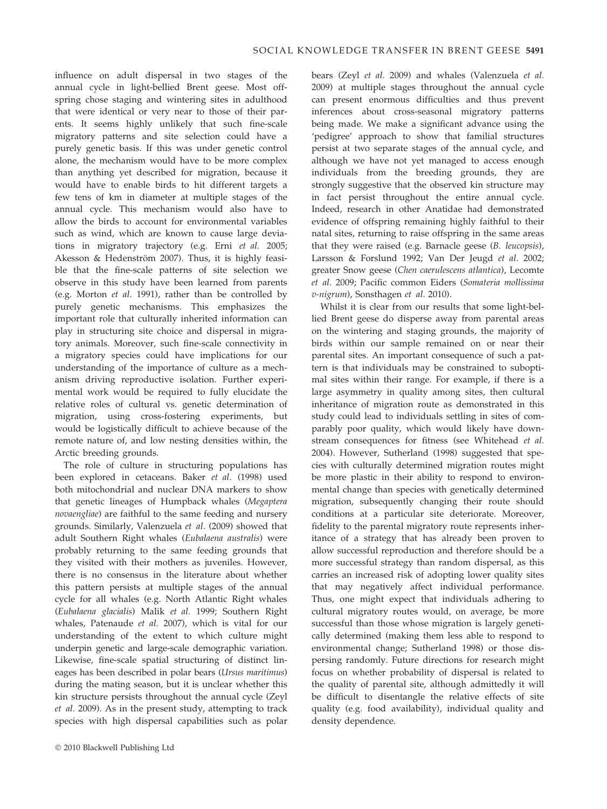influence on adult dispersal in two stages of the annual cycle in light-bellied Brent geese. Most offspring chose staging and wintering sites in adulthood that were identical or very near to those of their parents. It seems highly unlikely that such fine-scale migratory patterns and site selection could have a purely genetic basis. If this was under genetic control alone, the mechanism would have to be more complex than anything yet described for migration, because it would have to enable birds to hit different targets a few tens of km in diameter at multiple stages of the annual cycle. This mechanism would also have to allow the birds to account for environmental variables such as wind, which are known to cause large deviations in migratory trajectory (e.g. Erni et al. 2005; Akesson & Hedenström 2007). Thus, it is highly feasible that the fine-scale patterns of site selection we observe in this study have been learned from parents (e.g. Morton et al. 1991), rather than be controlled by purely genetic mechanisms. This emphasizes the important role that culturally inherited information can play in structuring site choice and dispersal in migratory animals. Moreover, such fine-scale connectivity in a migratory species could have implications for our understanding of the importance of culture as a mechanism driving reproductive isolation. Further experimental work would be required to fully elucidate the relative roles of cultural vs. genetic determination of migration, using cross-fostering experiments, but would be logistically difficult to achieve because of the remote nature of, and low nesting densities within, the Arctic breeding grounds.

The role of culture in structuring populations has been explored in cetaceans. Baker et al. (1998) used both mitochondrial and nuclear DNA markers to show that genetic lineages of Humpback whales (Megaptera novaengliae) are faithful to the same feeding and nursery grounds. Similarly, Valenzuela et al. (2009) showed that adult Southern Right whales (Eubalaena australis) were probably returning to the same feeding grounds that they visited with their mothers as juveniles. However, there is no consensus in the literature about whether this pattern persists at multiple stages of the annual cycle for all whales (e.g. North Atlantic Right whales (Eubalaena glacialis) Malik et al. 1999; Southern Right whales, Patenaude et al. 2007), which is vital for our understanding of the extent to which culture might underpin genetic and large-scale demographic variation. Likewise, fine-scale spatial structuring of distinct lineages has been described in polar bears (Ursus maritimus) during the mating season, but it is unclear whether this kin structure persists throughout the annual cycle (Zeyl et al. 2009). As in the present study, attempting to track species with high dispersal capabilities such as polar

bears (Zeyl et al. 2009) and whales (Valenzuela et al. 2009) at multiple stages throughout the annual cycle can present enormous difficulties and thus prevent inferences about cross-seasonal migratory patterns being made. We make a significant advance using the 'pedigree' approach to show that familial structures persist at two separate stages of the annual cycle, and although we have not yet managed to access enough individuals from the breeding grounds, they are strongly suggestive that the observed kin structure may in fact persist throughout the entire annual cycle. Indeed, research in other Anatidae had demonstrated evidence of offspring remaining highly faithful to their natal sites, returning to raise offspring in the same areas that they were raised (e.g. Barnacle geese (B. leucopsis), Larsson & Forslund 1992; Van Der Jeugd et al. 2002; greater Snow geese (Chen caerulescens atlantica), Lecomte et al. 2009; Pacific common Eiders (Somateria mollissima v-nigrum), Sonsthagen et al. 2010).

Whilst it is clear from our results that some light-bellied Brent geese do disperse away from parental areas on the wintering and staging grounds, the majority of birds within our sample remained on or near their parental sites. An important consequence of such a pattern is that individuals may be constrained to suboptimal sites within their range. For example, if there is a large asymmetry in quality among sites, then cultural inheritance of migration route as demonstrated in this study could lead to individuals settling in sites of comparably poor quality, which would likely have downstream consequences for fitness (see Whitehead et al. 2004). However, Sutherland (1998) suggested that species with culturally determined migration routes might be more plastic in their ability to respond to environmental change than species with genetically determined migration, subsequently changing their route should conditions at a particular site deteriorate. Moreover, fidelity to the parental migratory route represents inheritance of a strategy that has already been proven to allow successful reproduction and therefore should be a more successful strategy than random dispersal, as this carries an increased risk of adopting lower quality sites that may negatively affect individual performance. Thus, one might expect that individuals adhering to cultural migratory routes would, on average, be more successful than those whose migration is largely genetically determined (making them less able to respond to environmental change; Sutherland 1998) or those dispersing randomly. Future directions for research might focus on whether probability of dispersal is related to the quality of parental site, although admittedly it will be difficult to disentangle the relative effects of site quality (e.g. food availability), individual quality and density dependence.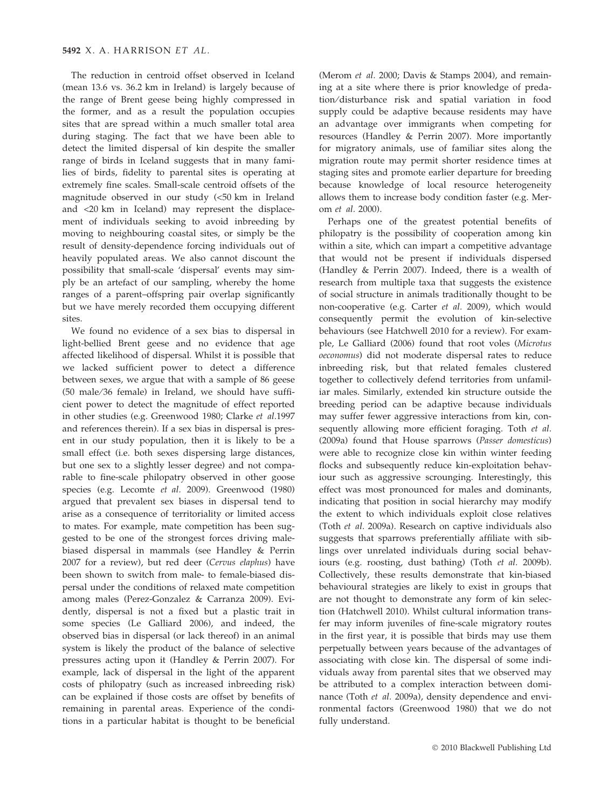The reduction in centroid offset observed in Iceland (mean 13.6 vs. 36.2 km in Ireland) is largely because of the range of Brent geese being highly compressed in the former, and as a result the population occupies sites that are spread within a much smaller total area during staging. The fact that we have been able to detect the limited dispersal of kin despite the smaller range of birds in Iceland suggests that in many families of birds, fidelity to parental sites is operating at extremely fine scales. Small-scale centroid offsets of the magnitude observed in our study (<50 km in Ireland and <20 km in Iceland) may represent the displacement of individuals seeking to avoid inbreeding by moving to neighbouring coastal sites, or simply be the result of density-dependence forcing individuals out of heavily populated areas. We also cannot discount the possibility that small-scale 'dispersal' events may simply be an artefact of our sampling, whereby the home ranges of a parent–offspring pair overlap significantly but we have merely recorded them occupying different sites.

We found no evidence of a sex bias to dispersal in light-bellied Brent geese and no evidence that age affected likelihood of dispersal. Whilst it is possible that we lacked sufficient power to detect a difference between sexes, we argue that with a sample of 86 geese (50 male/36 female) in Ireland, we should have sufficient power to detect the magnitude of effect reported in other studies (e.g. Greenwood 1980; Clarke et al.1997 and references therein). If a sex bias in dispersal is present in our study population, then it is likely to be a small effect (i.e. both sexes dispersing large distances, but one sex to a slightly lesser degree) and not comparable to fine-scale philopatry observed in other goose species (e.g. Lecomte et al. 2009). Greenwood (1980) argued that prevalent sex biases in dispersal tend to arise as a consequence of territoriality or limited access to mates. For example, mate competition has been suggested to be one of the strongest forces driving malebiased dispersal in mammals (see Handley & Perrin 2007 for a review), but red deer (Cervus elaphus) have been shown to switch from male- to female-biased dispersal under the conditions of relaxed mate competition among males (Perez-Gonzalez & Carranza 2009). Evidently, dispersal is not a fixed but a plastic trait in some species (Le Galliard 2006), and indeed, the observed bias in dispersal (or lack thereof) in an animal system is likely the product of the balance of selective pressures acting upon it (Handley & Perrin 2007). For example, lack of dispersal in the light of the apparent costs of philopatry (such as increased inbreeding risk) can be explained if those costs are offset by benefits of remaining in parental areas. Experience of the conditions in a particular habitat is thought to be beneficial

(Merom et al. 2000; Davis & Stamps 2004), and remaining at a site where there is prior knowledge of predation ⁄ disturbance risk and spatial variation in food supply could be adaptive because residents may have an advantage over immigrants when competing for resources (Handley & Perrin 2007). More importantly for migratory animals, use of familiar sites along the migration route may permit shorter residence times at staging sites and promote earlier departure for breeding because knowledge of local resource heterogeneity allows them to increase body condition faster (e.g. Merom et al. 2000).

Perhaps one of the greatest potential benefits of philopatry is the possibility of cooperation among kin within a site, which can impart a competitive advantage that would not be present if individuals dispersed (Handley & Perrin 2007). Indeed, there is a wealth of research from multiple taxa that suggests the existence of social structure in animals traditionally thought to be non-cooperative (e.g. Carter et al. 2009), which would consequently permit the evolution of kin-selective behaviours (see Hatchwell 2010 for a review). For example, Le Galliard (2006) found that root voles (Microtus oeconomus) did not moderate dispersal rates to reduce inbreeding risk, but that related females clustered together to collectively defend territories from unfamiliar males. Similarly, extended kin structure outside the breeding period can be adaptive because individuals may suffer fewer aggressive interactions from kin, consequently allowing more efficient foraging. Toth et al. (2009a) found that House sparrows (Passer domesticus) were able to recognize close kin within winter feeding flocks and subsequently reduce kin-exploitation behaviour such as aggressive scrounging. Interestingly, this effect was most pronounced for males and dominants, indicating that position in social hierarchy may modify the extent to which individuals exploit close relatives (Toth et al. 2009a). Research on captive individuals also suggests that sparrows preferentially affiliate with siblings over unrelated individuals during social behaviours (e.g. roosting, dust bathing) (Toth et al. 2009b). Collectively, these results demonstrate that kin-biased behavioural strategies are likely to exist in groups that are not thought to demonstrate any form of kin selection (Hatchwell 2010). Whilst cultural information transfer may inform juveniles of fine-scale migratory routes in the first year, it is possible that birds may use them perpetually between years because of the advantages of associating with close kin. The dispersal of some individuals away from parental sites that we observed may be attributed to a complex interaction between dominance (Toth et al. 2009a), density dependence and environmental factors (Greenwood 1980) that we do not fully understand.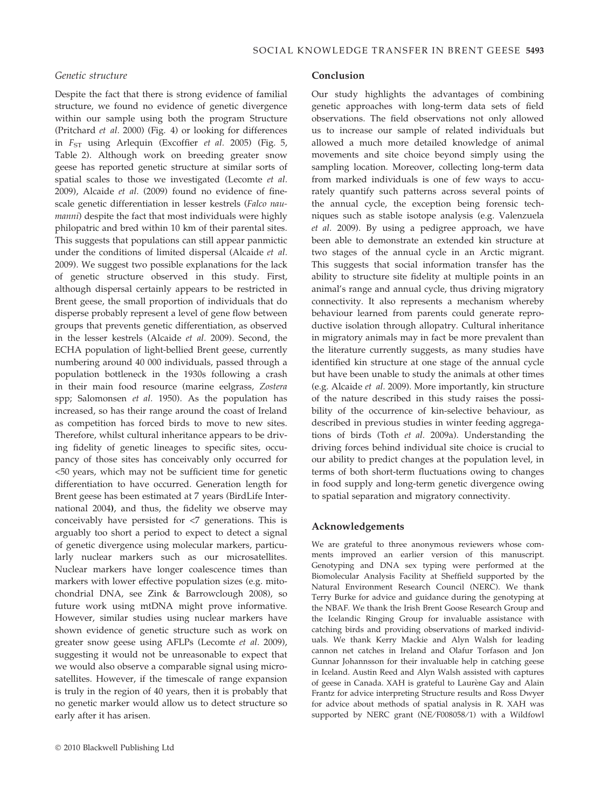## Genetic structure

Despite the fact that there is strong evidence of familial structure, we found no evidence of genetic divergence within our sample using both the program Structure (Pritchard et al. 2000) (Fig. 4) or looking for differences in  $F_{ST}$  using Arlequin (Excoffier et al. 2005) (Fig. 5, Table 2). Although work on breeding greater snow geese has reported genetic structure at similar sorts of spatial scales to those we investigated (Lecomte et al. 2009), Alcaide et al. (2009) found no evidence of finescale genetic differentiation in lesser kestrels (Falco naumanni) despite the fact that most individuals were highly philopatric and bred within 10 km of their parental sites. This suggests that populations can still appear panmictic under the conditions of limited dispersal (Alcaide et al. 2009). We suggest two possible explanations for the lack of genetic structure observed in this study. First, although dispersal certainly appears to be restricted in Brent geese, the small proportion of individuals that do disperse probably represent a level of gene flow between groups that prevents genetic differentiation, as observed in the lesser kestrels (Alcaide et al. 2009). Second, the ECHA population of light-bellied Brent geese, currently numbering around 40 000 individuals, passed through a population bottleneck in the 1930s following a crash in their main food resource (marine eelgrass, Zostera spp; Salomonsen et al. 1950). As the population has increased, so has their range around the coast of Ireland as competition has forced birds to move to new sites. Therefore, whilst cultural inheritance appears to be driving fidelity of genetic lineages to specific sites, occupancy of those sites has conceivably only occurred for <50 years, which may not be sufficient time for genetic differentiation to have occurred. Generation length for Brent geese has been estimated at 7 years (BirdLife International 2004), and thus, the fidelity we observe may conceivably have persisted for <7 generations. This is arguably too short a period to expect to detect a signal of genetic divergence using molecular markers, particularly nuclear markers such as our microsatellites. Nuclear markers have longer coalescence times than markers with lower effective population sizes (e.g. mitochondrial DNA, see Zink & Barrowclough 2008), so future work using mtDNA might prove informative. However, similar studies using nuclear markers have shown evidence of genetic structure such as work on greater snow geese using AFLPs (Lecomte et al. 2009), suggesting it would not be unreasonable to expect that we would also observe a comparable signal using microsatellites. However, if the timescale of range expansion is truly in the region of 40 years, then it is probably that no genetic marker would allow us to detect structure so early after it has arisen.

#### Conclusion

Our study highlights the advantages of combining genetic approaches with long-term data sets of field observations. The field observations not only allowed us to increase our sample of related individuals but allowed a much more detailed knowledge of animal movements and site choice beyond simply using the sampling location. Moreover, collecting long-term data from marked individuals is one of few ways to accurately quantify such patterns across several points of the annual cycle, the exception being forensic techniques such as stable isotope analysis (e.g. Valenzuela et al. 2009). By using a pedigree approach, we have been able to demonstrate an extended kin structure at two stages of the annual cycle in an Arctic migrant. This suggests that social information transfer has the ability to structure site fidelity at multiple points in an animal's range and annual cycle, thus driving migratory connectivity. It also represents a mechanism whereby behaviour learned from parents could generate reproductive isolation through allopatry. Cultural inheritance in migratory animals may in fact be more prevalent than the literature currently suggests, as many studies have identified kin structure at one stage of the annual cycle but have been unable to study the animals at other times (e.g. Alcaide et al. 2009). More importantly, kin structure of the nature described in this study raises the possibility of the occurrence of kin-selective behaviour, as described in previous studies in winter feeding aggregations of birds (Toth et al. 2009a). Understanding the driving forces behind individual site choice is crucial to our ability to predict changes at the population level, in terms of both short-term fluctuations owing to changes in food supply and long-term genetic divergence owing to spatial separation and migratory connectivity.

### Acknowledgements

We are grateful to three anonymous reviewers whose comments improved an earlier version of this manuscript. Genotyping and DNA sex typing were performed at the Biomolecular Analysis Facility at Sheffield supported by the Natural Environment Research Council (NERC). We thank Terry Burke for advice and guidance during the genotyping at the NBAF. We thank the Irish Brent Goose Research Group and the Icelandic Ringing Group for invaluable assistance with catching birds and providing observations of marked individuals. We thank Kerry Mackie and Alyn Walsh for leading cannon net catches in Ireland and Olafur Torfason and Jon Gunnar Johannsson for their invaluable help in catching geese in Iceland. Austin Reed and Alyn Walsh assisted with captures of geese in Canada. XAH is grateful to Laurène Gay and Alain Frantz for advice interpreting Structure results and Ross Dwyer for advice about methods of spatial analysis in R. XAH was supported by NERC grant (NE/F008058/1) with a Wildfowl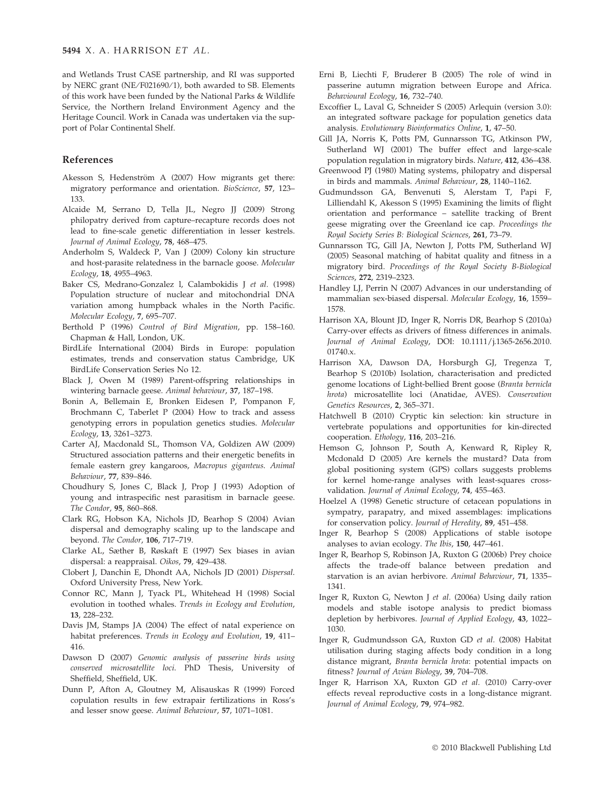5494 X. A. HARRISON ET AL.

and Wetlands Trust CASE partnership, and RI was supported by NERC grant (NE/F021690/1), both awarded to SB. Elements of this work have been funded by the National Parks & Wildlife Service, the Northern Ireland Environment Agency and the Heritage Council. Work in Canada was undertaken via the support of Polar Continental Shelf.

# References

- Akesson S, Hedenström A (2007) How migrants get there: migratory performance and orientation. BioScience, 57, 123– 133.
- Alcaide M, Serrano D, Tella JL, Negro JJ (2009) Strong philopatry derived from capture–recapture records does not lead to fine-scale genetic differentiation in lesser kestrels. Journal of Animal Ecology, 78, 468–475.
- Anderholm S, Waldeck P, Van J (2009) Colony kin structure and host-parasite relatedness in the barnacle goose. Molecular Ecology, 18, 4955–4963.
- Baker CS, Medrano-Gonzalez l, Calambokidis J et al. (1998) Population structure of nuclear and mitochondrial DNA variation among humpback whales in the North Pacific. Molecular Ecology, 7, 695–707.
- Berthold P (1996) Control of Bird Migration, pp. 158–160. Chapman & Hall, London, UK.
- BirdLife International (2004) Birds in Europe: population estimates, trends and conservation status Cambridge, UK BirdLife Conservation Series No 12.
- Black J, Owen M (1989) Parent-offspring relationships in wintering barnacle geese. Animal behaviour, 37, 187–198.
- Bonin A, Bellemain E, Bronken Eidesen P, Pompanon F, Brochmann C, Taberlet P (2004) How to track and assess genotyping errors in population genetics studies. Molecular Ecology, 13, 3261–3273.
- Carter AJ, Macdonald SL, Thomson VA, Goldizen AW (2009) Structured association patterns and their energetic benefits in female eastern grey kangaroos, Macropus giganteus. Animal Behaviour, 77, 839–846.
- Choudhury S, Jones C, Black J, Prop J (1993) Adoption of young and intraspecific nest parasitism in barnacle geese. The Condor, 95, 860–868.
- Clark RG, Hobson KA, Nichols JD, Bearhop S (2004) Avian dispersal and demography scaling up to the landscape and beyond. The Condor, 106, 717–719.
- Clarke AL, Sæther B, Røskaft E (1997) Sex biases in avian dispersal: a reappraisal. Oikos, 79, 429–438.
- Clobert J, Danchin E, Dhondt AA, Nichols JD (2001) Dispersal. Oxford University Press, New York.
- Connor RC, Mann J, Tyack PL, Whitehead H (1998) Social evolution in toothed whales. Trends in Ecology and Evolution, 13, 228–232.
- Davis JM, Stamps JA (2004) The effect of natal experience on habitat preferences. Trends in Ecology and Evolution, 19, 411-416.
- Dawson D (2007) Genomic analysis of passerine birds using conserved microsatellite loci. PhD Thesis, University of Sheffield, Sheffield, UK.
- Dunn P, Afton A, Gloutney M, Alisauskas R (1999) Forced copulation results in few extrapair fertilizations in Ross's and lesser snow geese. Animal Behaviour, 57, 1071–1081.
- Erni B, Liechti F, Bruderer B (2005) The role of wind in passerine autumn migration between Europe and Africa. Behavioural Ecology, 16, 732–740.
- Excoffier L, Laval G, Schneider S (2005) Arlequin (version 3.0): an integrated software package for population genetics data analysis. Evolutionary Bioinformatics Online, 1, 47–50.
- Gill JA, Norris K, Potts PM, Gunnarsson TG, Atkinson PW, Sutherland WJ (2001) The buffer effect and large-scale population regulation in migratory birds. Nature, 412, 436–438.
- Greenwood PJ (1980) Mating systems, philopatry and dispersal in birds and mammals. Animal Behaviour, 28, 1140–1162.
- Gudmundsson GA, Benvenuti S, Alerstam T, Papi F, Lilliendahl K, Akesson S (1995) Examining the limits of flight orientation and performance – satellite tracking of Brent geese migrating over the Greenland ice cap. Proceedings the Royal Society Series B: Biological Sciences, 261, 73–79.
- Gunnarsson TG, Gill JA, Newton J, Potts PM, Sutherland WJ (2005) Seasonal matching of habitat quality and fitness in a migratory bird. Proceedings of the Royal Society B-Biological Sciences, 272, 2319–2323.
- Handley LJ, Perrin N (2007) Advances in our understanding of mammalian sex-biased dispersal. Molecular Ecology, 16, 1559– 1578.
- Harrison XA, Blount JD, Inger R, Norris DR, Bearhop S (2010a) Carry-over effects as drivers of fitness differences in animals. Journal of Animal Ecology, DOI: 10.1111/j.1365-2656.2010. 01740.x.
- Harrison XA, Dawson DA, Horsburgh GJ, Tregenza T, Bearhop S (2010b) Isolation, characterisation and predicted genome locations of Light-bellied Brent goose (Branta bernicla hrota) microsatellite loci (Anatidae, AVES). Conservation Genetics Resources, 2, 365–371.
- Hatchwell B (2010) Cryptic kin selection: kin structure in vertebrate populations and opportunities for kin-directed cooperation. Ethology, 116, 203-216.
- Hemson G, Johnson P, South A, Kenward R, Ripley R, Mcdonald D (2005) Are kernels the mustard? Data from global positioning system (GPS) collars suggests problems for kernel home-range analyses with least-squares crossvalidation. Journal of Animal Ecology, 74, 455–463.
- Hoelzel A (1998) Genetic structure of cetacean populations in sympatry, parapatry, and mixed assemblages: implications for conservation policy. Journal of Heredity, 89, 451–458.
- Inger R, Bearhop S (2008) Applications of stable isotope analyses to avian ecology. The Ibis, 150, 447–461.
- Inger R, Bearhop S, Robinson JA, Ruxton G (2006b) Prey choice affects the trade-off balance between predation and starvation is an avian herbivore. Animal Behaviour, 71, 1335– 1341.
- Inger R, Ruxton G, Newton J et al. (2006a) Using daily ration models and stable isotope analysis to predict biomass depletion by herbivores. Journal of Applied Ecology, 43, 1022-1030.
- Inger R, Gudmundsson GA, Ruxton GD et al. (2008) Habitat utilisation during staging affects body condition in a long distance migrant, Branta bernicla hrota: potential impacts on fitness? Journal of Avian Biology, 39, 704–708.
- Inger R, Harrison XA, Ruxton GD et al. (2010) Carry-over effects reveal reproductive costs in a long-distance migrant. Journal of Animal Ecology, 79, 974–982.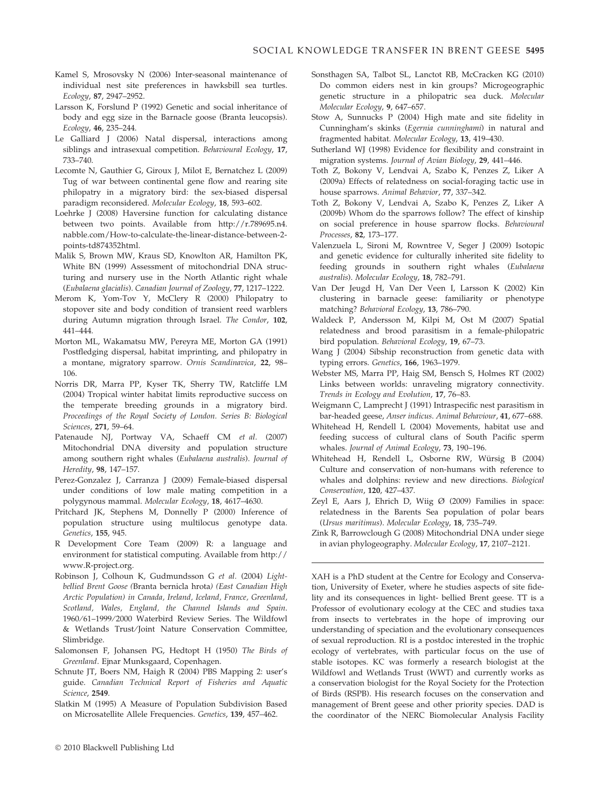- Kamel S, Mrosovsky N (2006) Inter-seasonal maintenance of individual nest site preferences in hawksbill sea turtles. Ecology, 87, 2947–2952.
- Larsson K, Forslund P (1992) Genetic and social inheritance of body and egg size in the Barnacle goose (Branta leucopsis). Ecology, 46, 235–244.
- Le Galliard J (2006) Natal dispersal, interactions among siblings and intrasexual competition. Behavioural Ecology, 17, 733–740.
- Lecomte N, Gauthier G, Giroux J, Milot E, Bernatchez L (2009) Tug of war between continental gene flow and rearing site philopatry in a migratory bird: the sex-biased dispersal paradigm reconsidered. Molecular Ecology, 18, 593–602.
- Loehrke J (2008) Haversine function for calculating distance between two points. Available from http://r.789695.n4. nabble.com/How-to-calculate-the-linear-distance-between-2 points-td874352html.
- Malik S, Brown MW, Kraus SD, Knowlton AR, Hamilton PK, White BN (1999) Assessment of mitochondrial DNA structuring and nursery use in the North Atlantic right whale (Eubalaena glacialis). Canadian Journal of Zoology, 77, 1217–1222.
- Merom K, Yom-Tov Y, McClery R (2000) Philopatry to stopover site and body condition of transient reed warblers during Autumn migration through Israel. The Condor, 102, 441–444.
- Morton ML, Wakamatsu MW, Pereyra ME, Morton GA (1991) Postfledging dispersal, habitat imprinting, and philopatry in a montane, migratory sparrow. Ornis Scandinavica, 22, 98– 106.
- Norris DR, Marra PP, Kyser TK, Sherry TW, Ratcliffe LM (2004) Tropical winter habitat limits reproductive success on the temperate breeding grounds in a migratory bird. Proceedings of the Royal Society of London. Series B: Biological Sciences, 271, 59–64.
- Patenaude NJ, Portway VA, Schaeff CM et al. (2007) Mitochondrial DNA diversity and population structure among southern right whales (Eubalaena australis). Journal of Heredity, 98, 147–157.
- Perez-Gonzalez J, Carranza J (2009) Female-biased dispersal under conditions of low male mating competition in a polygynous mammal. Molecular Ecology, 18, 4617–4630.
- Pritchard JK, Stephens M, Donnelly P (2000) Inference of population structure using multilocus genotype data. Genetics, 155, 945.
- R Development Core Team (2009) R: a language and environment for statistical computing. Available from http:// www.R-project.org.
- Robinson J, Colhoun K, Gudmundsson G et al. (2004) Lightbellied Brent Goose (Branta bernicla hrota) (East Canadian High Arctic Population) in Canada, Ireland, Iceland, France, Greenland, Scotland, Wales, England, the Channel Islands and Spain. 1960 ⁄ 61–1999 ⁄ 2000 Waterbird Review Series. The Wildfowl & Wetlands Trust/Joint Nature Conservation Committee, Slimbridge.
- Salomonsen F, Johansen PG, Hedtopt H (1950) The Birds of Greenland. Ejnar Munksgaard, Copenhagen.
- Schnute JT, Boers NM, Haigh R (2004) PBS Mapping 2: user's guide. Canadian Technical Report of Fisheries and Aquatic Science, 2549.
- Slatkin M (1995) A Measure of Population Subdivision Based on Microsatellite Allele Frequencies. Genetics, 139, 457–462.
- Sonsthagen SA, Talbot SL, Lanctot RB, McCracken KG (2010) Do common eiders nest in kin groups? Microgeographic genetic structure in a philopatric sea duck. Molecular Molecular Ecology, 9, 647–657.
- Stow A, Sunnucks P (2004) High mate and site fidelity in Cunningham's skinks (Egernia cunninghami) in natural and fragmented habitat. Molecular Ecology, 13, 419–430.
- Sutherland WJ (1998) Evidence for flexibility and constraint in migration systems. Journal of Avian Biology, 29, 441–446.
- Toth Z, Bokony V, Lendvai A, Szabo K, Penzes Z, Liker A (2009a) Effects of relatedness on social-foraging tactic use in house sparrows. Animal Behavior, 77, 337–342.
- Toth Z, Bokony V, Lendvai A, Szabo K, Penzes Z, Liker A (2009b) Whom do the sparrows follow? The effect of kinship on social preference in house sparrow flocks. Behavioural Processes, 82, 173–177.
- Valenzuela L, Sironi M, Rowntree V, Seger J (2009) Isotopic and genetic evidence for culturally inherited site fidelity to feeding grounds in southern right whales (Eubalaena australis). Molecular Ecology, 18, 782–791.
- Van Der Jeugd H, Van Der Veen I, Larsson K (2002) Kin clustering in barnacle geese: familiarity or phenotype matching? Behavioral Ecology, 13, 786–790.
- Waldeck P, Andersson M, Kilpi M, Ost M (2007) Spatial relatedness and brood parasitism in a female-philopatric bird population. Behavioral Ecology, 19, 67–73.
- Wang J (2004) Sibship reconstruction from genetic data with typing errors. Genetics, 166, 1963–1979.
- Webster MS, Marra PP, Haig SM, Bensch S, Holmes RT (2002) Links between worlds: unraveling migratory connectivity. Trends in Ecology and Evolution, 17, 76–83.
- Weigmann C, Lamprecht J (1991) Intraspecific nest parasitism in bar-headed geese, Anser indicus. Animal Behaviour, 41, 677–688.
- Whitehead H, Rendell L (2004) Movements, habitat use and feeding success of cultural clans of South Pacific sperm whales. Journal of Animal Ecology, 73, 190–196.
- Whitehead H, Rendell L, Osborne RW, Würsig B (2004) Culture and conservation of non-humans with reference to whales and dolphins: review and new directions. Biological Conservation, 120, 427–437.
- Zeyl E, Aars J, Ehrich D, Wiig  $\varnothing$  (2009) Families in space: relatedness in the Barents Sea population of polar bears (Ursus maritimus). Molecular Ecology, 18, 735–749.
- Zink R, Barrowclough G (2008) Mitochondrial DNA under siege in avian phylogeography. Molecular Ecology, 17, 2107–2121.

XAH is a PhD student at the Centre for Ecology and Conservation, University of Exeter, where he studies aspects of site fidelity and its consequences in light- bellied Brent geese. TT is a Professor of evolutionary ecology at the CEC and studies taxa from insects to vertebrates in the hope of improving our understanding of speciation and the evolutionary consequences of sexual reproduction. RI is a postdoc interested in the trophic ecology of vertebrates, with particular focus on the use of stable isotopes. KC was formerly a research biologist at the Wildfowl and Wetlands Trust (WWT) and currently works as a conservation biologist for the Royal Society for the Protection of Birds (RSPB). His research focuses on the conservation and management of Brent geese and other priority species. DAD is the coordinator of the NERC Biomolecular Analysis Facility